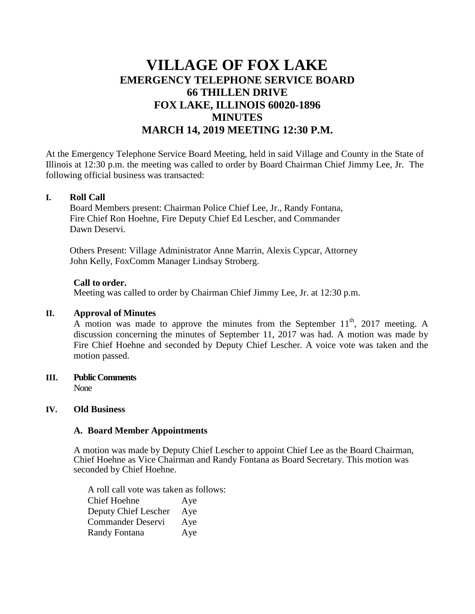# **VILLAGE OF FOX LAKE EMERGENCY TELEPHONE SERVICE BOARD 66 THILLEN DRIVE FOX LAKE, ILLINOIS 60020-1896 MINUTES MARCH 14, 2019 MEETING 12:30 P.M.**

At the Emergency Telephone Service Board Meeting, held in said Village and County in the State of Illinois at 12:30 p.m. the meeting was called to order by Board Chairman Chief Jimmy Lee, Jr. The following official business was transacted:

#### **I. Roll Call**

Board Members present: Chairman Police Chief Lee, Jr., Randy Fontana, Fire Chief Ron Hoehne, Fire Deputy Chief Ed Lescher, and Commander Dawn Deservi.

Others Present: Village Administrator Anne Marrin, Alexis Cypcar, Attorney John Kelly, FoxComm Manager Lindsay Stroberg.

#### **Call to order.**

Meeting was called to order by Chairman Chief Jimmy Lee, Jr. at 12:30 p.m.

## **II. Approval of Minutes**

A motion was made to approve the minutes from the September  $11<sup>th</sup>$ , 2017 meeting. A discussion concerning the minutes of September 11, 2017 was had. A motion was made by Fire Chief Hoehne and seconded by Deputy Chief Lescher. A voice vote was taken and the motion passed.

#### **III. Public Comments** None

## **IV. Old Business**

## **A. Board Member Appointments**

A motion was made by Deputy Chief Lescher to appoint Chief Lee as the Board Chairman, Chief Hoehne as Vice Chairman and Randy Fontana as Board Secretary. This motion was seconded by Chief Hoehne.

A roll call vote was taken as follows: Chief Hoehne Aye Deputy Chief Lescher Aye Commander Deservi Aye Randy Fontana Aye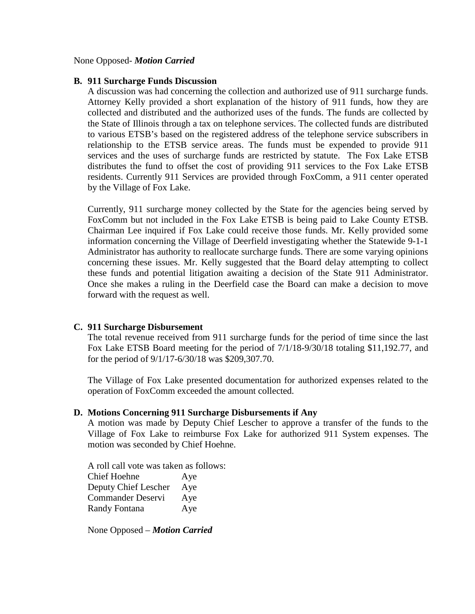#### None Opposed- *Motion Carried*

#### **B. 911 Surcharge Funds Discussion**

A discussion was had concerning the collection and authorized use of 911 surcharge funds. Attorney Kelly provided a short explanation of the history of 911 funds, how they are collected and distributed and the authorized uses of the funds. The funds are collected by the State of Illinois through a tax on telephone services. The collected funds are distributed to various ETSB's based on the registered address of the telephone service subscribers in relationship to the ETSB service areas. The funds must be expended to provide 911 services and the uses of surcharge funds are restricted by statute. The Fox Lake ETSB distributes the fund to offset the cost of providing 911 services to the Fox Lake ETSB residents. Currently 911 Services are provided through FoxComm, a 911 center operated by the Village of Fox Lake.

Currently, 911 surcharge money collected by the State for the agencies being served by FoxComm but not included in the Fox Lake ETSB is being paid to Lake County ETSB. Chairman Lee inquired if Fox Lake could receive those funds. Mr. Kelly provided some information concerning the Village of Deerfield investigating whether the Statewide 9-1-1 Administrator has authority to reallocate surcharge funds. There are some varying opinions concerning these issues. Mr. Kelly suggested that the Board delay attempting to collect these funds and potential litigation awaiting a decision of the State 911 Administrator. Once she makes a ruling in the Deerfield case the Board can make a decision to move forward with the request as well.

#### **C. 911 Surcharge Disbursement**

The total revenue received from 911 surcharge funds for the period of time since the last Fox Lake ETSB Board meeting for the period of 7/1/18-9/30/18 totaling \$11,192.77, and for the period of 9/1/17-6/30/18 was \$209,307.70.

The Village of Fox Lake presented documentation for authorized expenses related to the operation of FoxComm exceeded the amount collected.

#### **D. Motions Concerning 911 Surcharge Disbursements if Any**

A motion was made by Deputy Chief Lescher to approve a transfer of the funds to the Village of Fox Lake to reimburse Fox Lake for authorized 911 System expenses. The motion was seconded by Chief Hoehne.

A roll call vote was taken as follows: Chief Hoehne Aye Deputy Chief Lescher Aye Commander Deservi Aye Randy Fontana Aye

None Opposed – *Motion Carried*